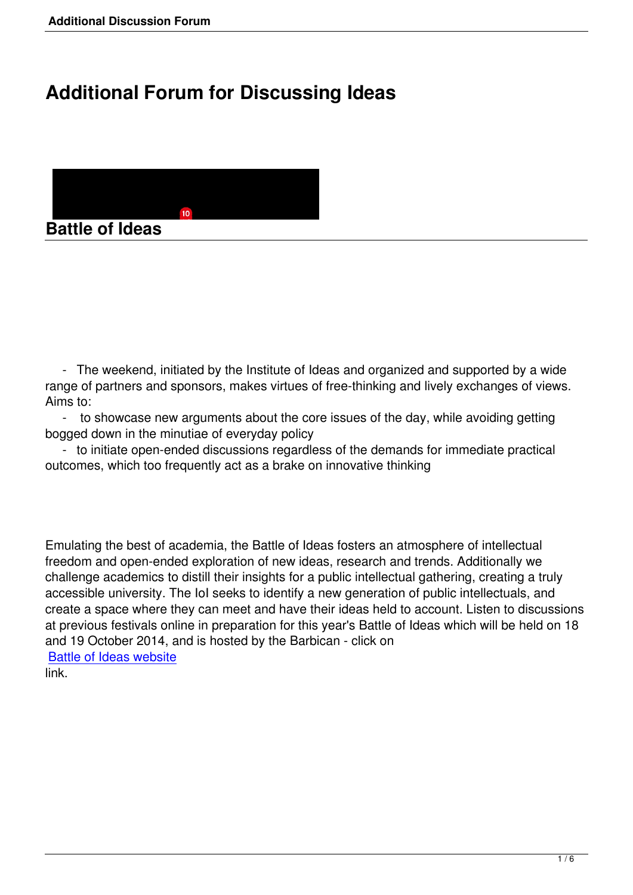## **Additional Forum for Discussing Ideas**



 - The weekend, initiated by the Institute of Ideas and organized and supported by a wide range of partners and sponsors, makes virtues of free-thinking and lively exchanges of views. Aims to:

 - to showcase new arguments about the core issues of the day, while avoiding getting bogged down in the minutiae of everyday policy

 - to initiate open-ended discussions regardless of the demands for immediate practical outcomes, which too frequently act as a brake on innovative thinking

Emulating the best of academia, the Battle of Ideas fosters an atmosphere of intellectual freedom and open-ended exploration of new ideas, research and trends. Additionally we challenge academics to distill their insights for a public intellectual gathering, creating a truly accessible university. The IoI seeks to identify a new generation of public intellectuals, and create a space where they can meet and have their ideas held to account. Listen to discussions at previous festivals online in preparation for this year's Battle of Ideas which will be held on 18 and 19 October 2014, and is hosted by the Barbican - click on Battle of Ideas website

link.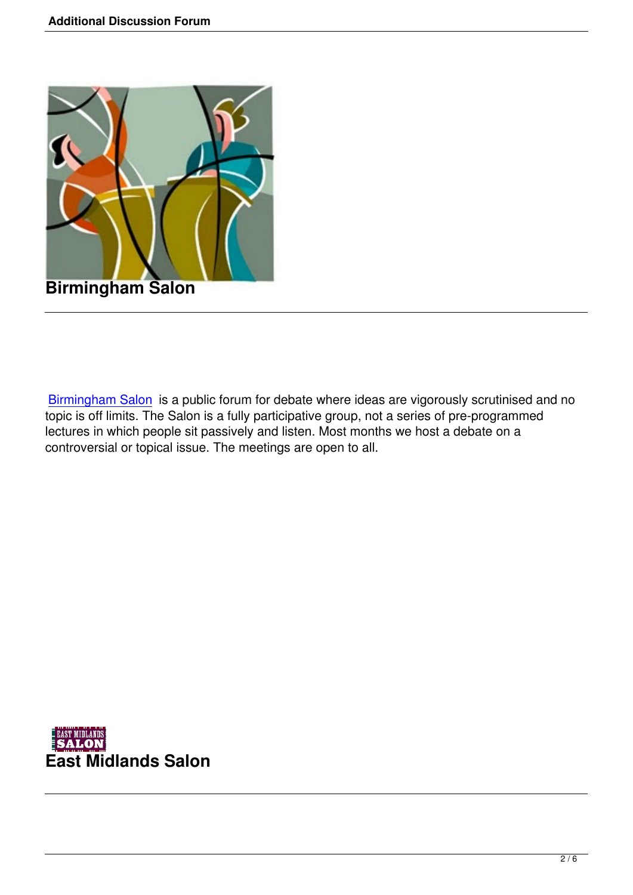

Birmingham Salon is a public forum for debate where ideas are vigorously scrutinised and no topic is off limits. The Salon is a fully participative group, not a series of pre-programmed lectures in which people sit passively and listen. Most months we host a debate on a [controversial or top](http://www.birminghamsalon.org)ical issue. The meetings are open to all.

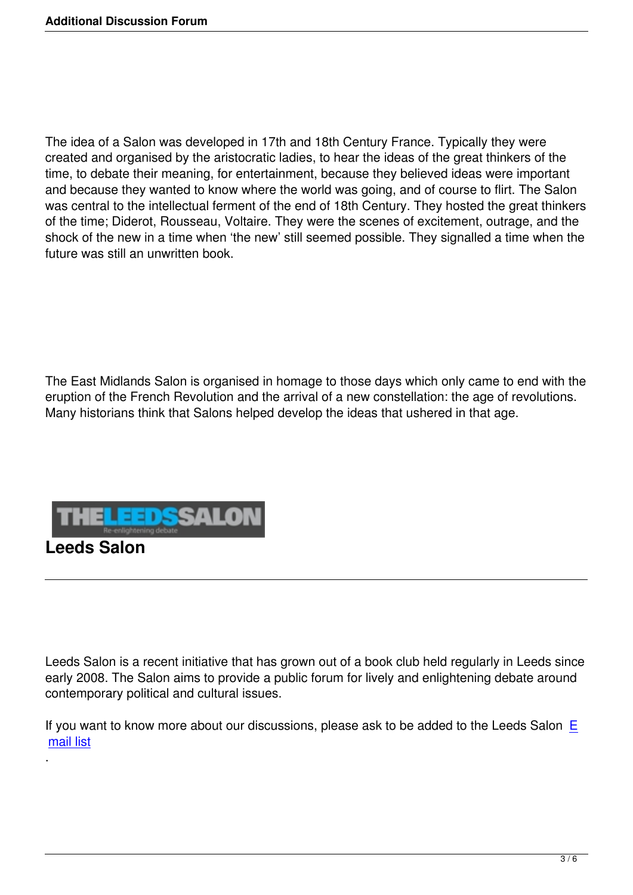The idea of a Salon was developed in 17th and 18th Century France. Typically they were created and organised by the aristocratic ladies, to hear the ideas of the great thinkers of the time, to debate their meaning, for entertainment, because they believed ideas were important and because they wanted to know where the world was going, and of course to flirt. The Salon was central to the intellectual ferment of the end of 18th Century. They hosted the great thinkers of the time; Diderot, Rousseau, Voltaire. They were the scenes of excitement, outrage, and the shock of the new in a time when 'the new' still seemed possible. They signalled a time when the future was still an unwritten book.

The East Midlands Salon is organised in homage to those days which only came to end with the eruption of the French Revolution and the arrival of a new constellation: the age of revolutions. Many historians think that Salons helped develop the ideas that ushered in that age.



.

Leeds Salon is a recent initiative that has grown out of a book club held regularly in Leeds since early 2008. The Salon aims to provide a public forum for lively and enlightening debate around contemporary political and cultural issues.

If you want to know more about our discussions, please ask to be added to the Leeds Salon  $E$ mail list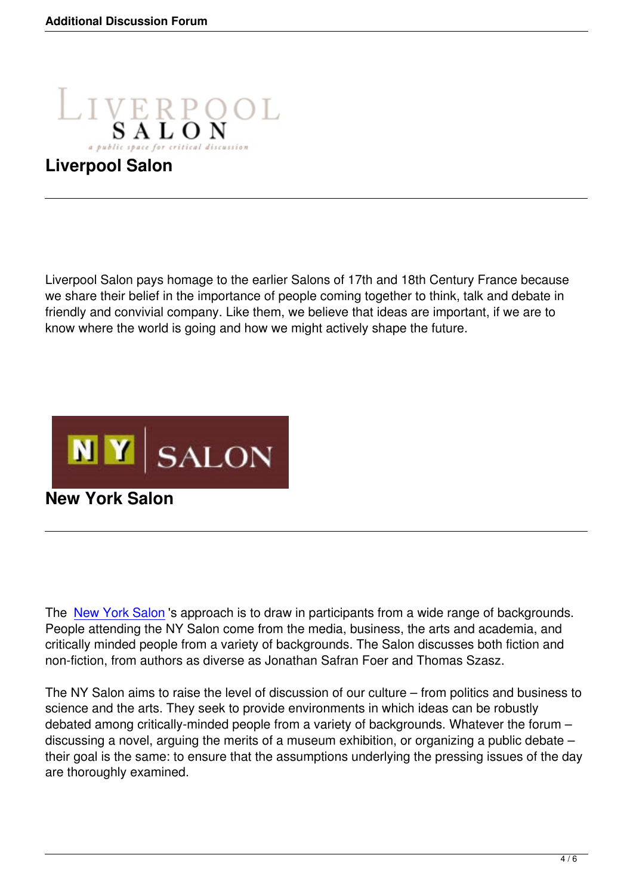

## **Liverpool Salon**

Liverpool Salon pays homage to the earlier Salons of 17th and 18th Century France because we share their belief in the importance of people coming together to think, talk and debate in friendly and convivial company. Like them, we believe that ideas are important, if we are to know where the world is going and how we might actively shape the future.



**New York Salon**

The New York Salon 's approach is to draw in participants from a wide range of backgrounds. People attending the NY Salon come from the media, business, the arts and academia, and critically minded people from a variety of backgrounds. The Salon discusses both fiction and non-[fiction, from auth](http://nysalon.org/)ors as diverse as Jonathan Safran Foer and Thomas Szasz.

The NY Salon aims to raise the level of discussion of our culture – from politics and business to science and the arts. They seek to provide environments in which ideas can be robustly debated among critically-minded people from a variety of backgrounds. Whatever the forum – discussing a novel, arguing the merits of a museum exhibition, or organizing a public debate – their goal is the same: to ensure that the assumptions underlying the pressing issues of the day are thoroughly examined.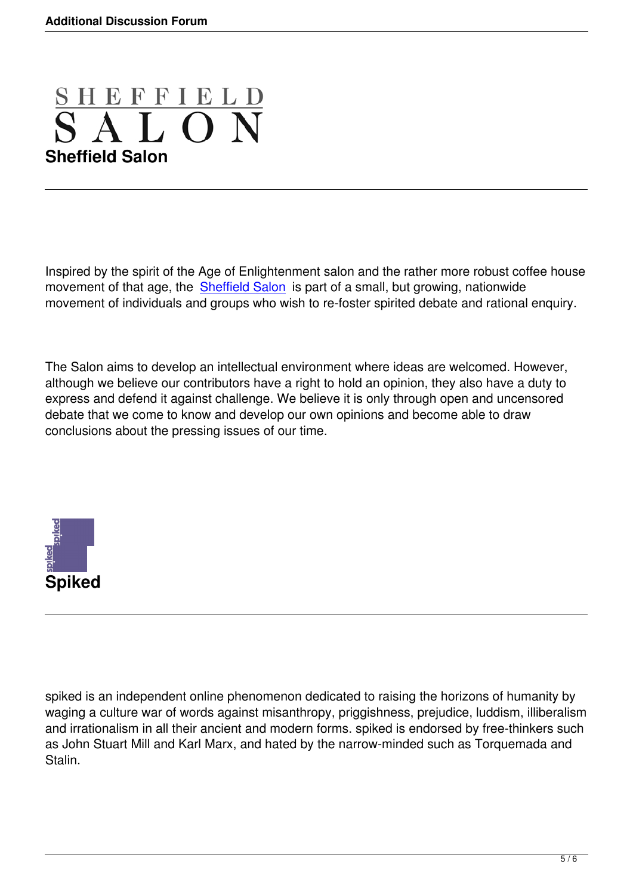

Inspired by the spirit of the Age of Enlightenment salon and the rather more robust coffee house movement of that age, the Sheffield Salon is part of a small, but growing, nationwide movement of individuals and groups who wish to re-foster spirited debate and rational enquiry.

The Salon aims to develop an intellectual environment where ideas are welcomed. However, although we believe our contributors have a right to hold an opinion, they also have a duty to express and defend it against challenge. We believe it is only through open and uncensored debate that we come to know and develop our own opinions and become able to draw conclusions about the pressing issues of our time.



spiked is an independent online phenomenon dedicated to raising the horizons of humanity by waging a culture war of words against misanthropy, priggishness, prejudice, luddism, illiberalism and irrationalism in all their ancient and modern forms. spiked is endorsed by free-thinkers such as John Stuart Mill and Karl Marx, and hated by the narrow-minded such as Torquemada and Stalin.